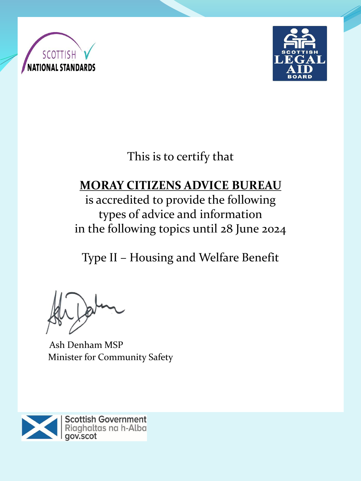



This is to certify that

# **MORAY CITIZENS ADVICE BUREAU**

is accredited to provide the following types of advice and information in the following topics until 28 June 2024

Type II – Housing and Welfare Benefit

Ash Denham MSP Minister for Community Safety

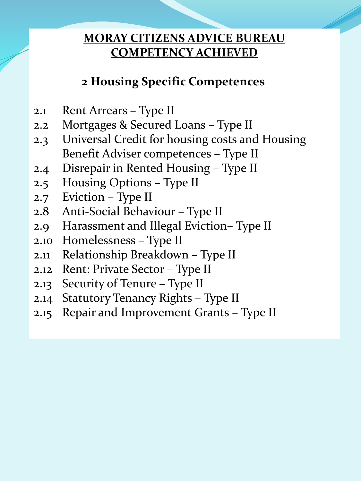# **2 Housing Specific Competences**

- 2.1 Rent Arrears Type II
- 2.2 Mortgages & Secured Loans Type II
- 2.3 Universal Credit for housing costs and Housing Benefit Adviser competences – Type II
- 2.4 Disrepair in Rented Housing Type II
- 2.5 Housing Options Type II
- 2.7 Eviction Type II
- 2.8 Anti-Social Behaviour Type II
- 2.9 Harassment and Illegal Eviction– Type II
- 2.10 Homelessness Type II
- 2.11 Relationship Breakdown Type II
- 2.12 Rent: Private Sector Type II
- 2.13 Security of Tenure Type II
- 2.14 Statutory Tenancy Rights Type II
- 2.15 Repair and Improvement Grants Type II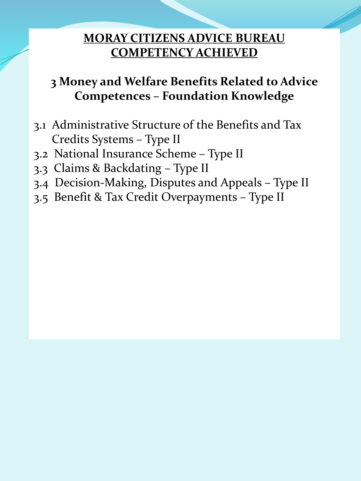# **3 Money and Welfare Benefits Related to Advice Competences – Foundation Knowledge**

- 3.1 Administrative Structure of the Benefits and Tax Credits Systems – Type II
- 3.2 National Insurance Scheme Type II
- 3.3 Claims & Backdating Type II
- 3.4 Decision-Making, Disputes and Appeals Type II
- 3.5 Benefit & Tax Credit Overpayments Type II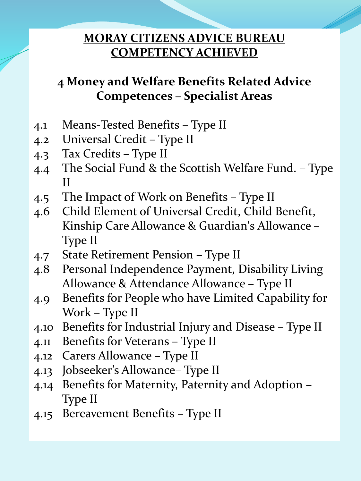# **4 Money and Welfare Benefits Related Advice Competences – Specialist Areas**

- 4.1 Means-Tested Benefits Type II
- 4.2 Universal Credit Type II
- 4.3 Tax Credits Type II
- 4.4 The Social Fund & the Scottish Welfare Fund. Type II
- 4.5 The Impact of Work on Benefits Type II
- 4.6 Child Element of Universal Credit, Child Benefit, Kinship Care Allowance & Guardian's Allowance – Type II
- 4.7 State Retirement Pension Type II
- 4.8 Personal Independence Payment, Disability Living Allowance & Attendance Allowance – Type II
- 4.9 Benefits for People who have Limited Capability for Work – Type II
- 4.10 Benefits for Industrial Injury and Disease Type II
- 4.11 Benefits for Veterans Type II
- 4.12 Carers Allowance Type II
- 4.13 Jobseeker's Allowance– Type II
- 4.14 Benefits for Maternity, Paternity and Adoption Type II
- 4.15 Bereavement Benefits Type II